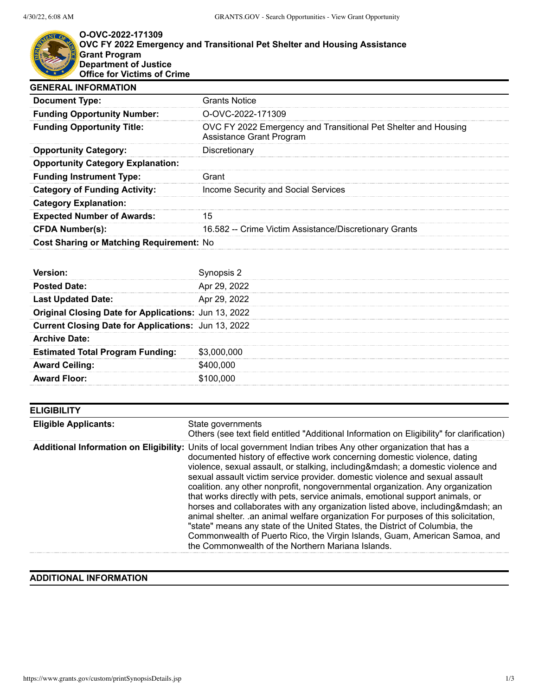## **O-OVC-2022-171309 OVC FY 2022 Emergency and Transitional Pet Shelter and Housing Assistance Grant Program Department of Justice Office for Victims of Crime**

| <b>Grants Notice</b>                                                                       |
|--------------------------------------------------------------------------------------------|
| O-OVC-2022-171309                                                                          |
| OVC FY 2022 Emergency and Transitional Pet Shelter and Housing<br>Assistance Grant Program |
| Discretionary                                                                              |
|                                                                                            |
| Grant                                                                                      |
| Income Security and Social Services                                                        |
|                                                                                            |
| 15                                                                                         |
| 16.582 -- Crime Victim Assistance/Discretionary Grants                                     |
| Cost Sharing or Matching Requirement: No                                                   |
|                                                                                            |

| Apr 29, 2022                                                |
|-------------------------------------------------------------|
| Apr 29, 2022                                                |
| <b>Original Closing Date for Applications: Jun 13, 2022</b> |
| Current Closing Date for Applications: Jun 13, 2022         |
|                                                             |
| \$3,000,000                                                 |
| \$400,000                                                   |
| \$100,000                                                   |
|                                                             |

| <b>ELIGIBILITY</b>          |                                                                                                                                                                                                                                                                                                                                                                                                                                                                                                                                                                                                                                                                                                                                                                                                                                                                                                                    |
|-----------------------------|--------------------------------------------------------------------------------------------------------------------------------------------------------------------------------------------------------------------------------------------------------------------------------------------------------------------------------------------------------------------------------------------------------------------------------------------------------------------------------------------------------------------------------------------------------------------------------------------------------------------------------------------------------------------------------------------------------------------------------------------------------------------------------------------------------------------------------------------------------------------------------------------------------------------|
| <b>Eligible Applicants:</b> | State governments<br>Others (see text field entitled "Additional Information on Eligibility" for clarification)                                                                                                                                                                                                                                                                                                                                                                                                                                                                                                                                                                                                                                                                                                                                                                                                    |
|                             | Additional Information on Eligibility: Units of local government Indian tribes Any other organization that has a<br>documented history of effective work concerning domestic violence, dating<br>violence, sexual assault, or stalking, including— a domestic violence and<br>sexual assault victim service provider. domestic violence and sexual assault<br>coalition. any other nonprofit, nongovernmental organization. Any organization<br>that works directly with pets, service animals, emotional support animals, or<br>horses and collaborates with any organization listed above, including— an<br>animal shelter. .an animal welfare organization For purposes of this solicitation,<br>"state" means any state of the United States, the District of Columbia, the<br>Commonwealth of Puerto Rico, the Virgin Islands, Guam, American Samoa, and<br>the Commonwealth of the Northern Mariana Islands. |

## **ADDITIONAL INFORMATION**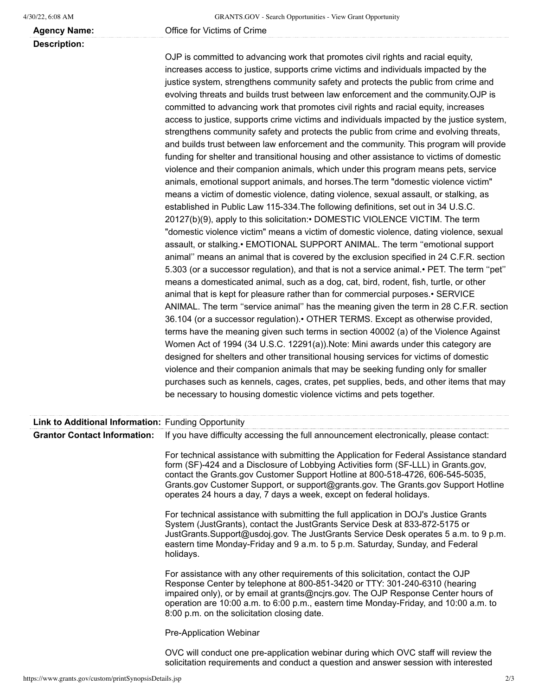**Agency Name:** Office for Victims of Crime

**Description:**

OJP is committed to advancing work that promotes civil rights and racial equity, increases access to justice, supports crime victims and individuals impacted by the justice system, strengthens community safety and protects the public from crime and evolving threats and builds trust between law enforcement and the community.OJP is committed to advancing work that promotes civil rights and racial equity, increases access to justice, supports crime victims and individuals impacted by the justice system, strengthens community safety and protects the public from crime and evolving threats, and builds trust between law enforcement and the community. This program will provide funding for shelter and transitional housing and other assistance to victims of domestic violence and their companion animals, which under this program means pets, service animals, emotional support animals, and horses.The term "domestic violence victim" means a victim of domestic violence, dating violence, sexual assault, or stalking, as established in Public Law 115-334.The following definitions, set out in 34 U.S.C. 20127(b)(9), apply to this solicitation:• DOMESTIC VIOLENCE VICTIM. The term "domestic violence victim" means a victim of domestic violence, dating violence, sexual assault, or stalking.• EMOTIONAL SUPPORT ANIMAL. The term ''emotional support animal'' means an animal that is covered by the exclusion specified in 24 C.F.R. section 5.303 (or a successor regulation), and that is not a service animal.• PET. The term ''pet'' means a domesticated animal, such as a dog, cat, bird, rodent, fish, turtle, or other animal that is kept for pleasure rather than for commercial purposes.• SERVICE ANIMAL. The term ''service animal'' has the meaning given the term in 28 C.F.R. section 36.104 (or a successor regulation).• OTHER TERMS. Except as otherwise provided, terms have the meaning given such terms in section 40002 (a) of the Violence Against Women Act of 1994 (34 U.S.C. 12291(a)).Note: Mini awards under this category are designed for shelters and other transitional housing services for victims of domestic violence and their companion animals that may be seeking funding only for smaller purchases such as kennels, cages, crates, pet supplies, beds, and other items that may be necessary to housing domestic violence victims and pets together.

| Link to Additional Information: Funding Opportunity |                                                                                                                                                                                                                                                                                                                                                                                                                               |
|-----------------------------------------------------|-------------------------------------------------------------------------------------------------------------------------------------------------------------------------------------------------------------------------------------------------------------------------------------------------------------------------------------------------------------------------------------------------------------------------------|
| <b>Grantor Contact Information:</b>                 | If you have difficulty accessing the full announcement electronically, please contact:                                                                                                                                                                                                                                                                                                                                        |
|                                                     | For technical assistance with submitting the Application for Federal Assistance standard<br>form (SF)-424 and a Disclosure of Lobbying Activities form (SF-LLL) in Grants.gov,<br>contact the Grants.gov Customer Support Hotline at 800-518-4726, 606-545-5035,<br>Grants.gov Customer Support, or support@grants.gov. The Grants.gov Support Hotline<br>operates 24 hours a day, 7 days a week, except on federal holidays. |
|                                                     | For technical assistance with submitting the full application in DOJ's Justice Grants<br>System (JustGrants), contact the JustGrants Service Desk at 833-872-5175 or<br>JustGrants.Support@usdoj.gov. The JustGrants Service Desk operates 5 a.m. to 9 p.m.<br>eastern time Monday-Friday and 9 a.m. to 5 p.m. Saturday, Sunday, and Federal<br>holidays.                                                                     |
|                                                     | For assistance with any other requirements of this solicitation, contact the OJP<br>Response Center by telephone at 800-851-3420 or TTY: 301-240-6310 (hearing<br>impaired only), or by email at grants@ncjrs.gov. The OJP Response Center hours of<br>operation are 10:00 a.m. to 6:00 p.m., eastern time Monday-Friday, and 10:00 a.m. to<br>8:00 p.m. on the solicitation closing date.                                    |
|                                                     | Pre-Application Webinar                                                                                                                                                                                                                                                                                                                                                                                                       |
|                                                     | OVC will conduct one pre-application webinar during which OVC staff will review the<br>solicitation requirements and conduct a question and answer session with interested                                                                                                                                                                                                                                                    |